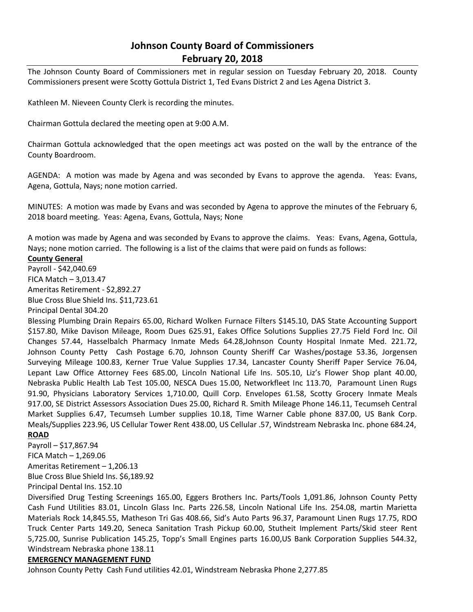## **Johnson County Board of Commissioners February 20, 2018**

The Johnson County Board of Commissioners met in regular session on Tuesday February 20, 2018. County Commissioners present were Scotty Gottula District 1, Ted Evans District 2 and Les Agena District 3.

Kathleen M. Nieveen County Clerk is recording the minutes.

Chairman Gottula declared the meeting open at 9:00 A.M.

Chairman Gottula acknowledged that the open meetings act was posted on the wall by the entrance of the County Boardroom.

AGENDA: A motion was made by Agena and was seconded by Evans to approve the agenda. Yeas: Evans, Agena, Gottula, Nays; none motion carried.

MINUTES: A motion was made by Evans and was seconded by Agena to approve the minutes of the February 6, 2018 board meeting. Yeas: Agena, Evans, Gottula, Nays; None

A motion was made by Agena and was seconded by Evans to approve the claims. Yeas: Evans, Agena, Gottula, Nays; none motion carried. The following is a list of the claims that were paid on funds as follows:

## **County General**

Payroll - \$42,040.69 FICA Match – 3,013.47 Ameritas Retirement - \$2,892.27 Blue Cross Blue Shield Ins. \$11,723.61 Principal Dental 304.20

Blessing Plumbing Drain Repairs 65.00, Richard Wolken Furnace Filters \$145.10, DAS State Accounting Support \$157.80, Mike Davison Mileage, Room Dues 625.91, Eakes Office Solutions Supplies 27.75 Field Ford Inc. Oil Changes 57.44, Hasselbalch Pharmacy Inmate Meds 64.28,Johnson County Hospital Inmate Med. 221.72, Johnson County Petty Cash Postage 6.70, Johnson County Sheriff Car Washes/postage 53.36, Jorgensen Surveying Mileage 100.83, Kerner True Value Supplies 17.34, Lancaster County Sheriff Paper Service 76.04, Lepant Law Office Attorney Fees 685.00, Lincoln National Life Ins. 505.10, Liz's Flower Shop plant 40.00, Nebraska Public Health Lab Test 105.00, NESCA Dues 15.00, Networkfleet Inc 113.70, Paramount Linen Rugs 91.90, Physicians Laboratory Services 1,710.00, Quill Corp. Envelopes 61.58, Scotty Grocery Inmate Meals 917.00, SE District Assessors Association Dues 25.00, Richard R. Smith Mileage Phone 146.11, Tecumseh Central Market Supplies 6.47, Tecumseh Lumber supplies 10.18, Time Warner Cable phone 837.00, US Bank Corp. Meals/Supplies 223.96, US Cellular Tower Rent 438.00, US Cellular .57, Windstream Nebraska Inc. phone 684.24, **ROAD**

Payroll – \$17,867.94 FICA Match – 1,269.06 Ameritas Retirement – 1,206.13 Blue Cross Blue Shield Ins. \$6,189.92 Principal Dental Ins. 152.10

Diversified Drug Testing Screenings 165.00, Eggers Brothers Inc. Parts/Tools 1,091.86, Johnson County Petty Cash Fund Utilities 83.01, Lincoln Glass Inc. Parts 226.58, Lincoln National Life Ins. 254.08, martin Marietta Materials Rock 14,845.55, Matheson Tri Gas 408.66, Sid's Auto Parts 96.37, Paramount Linen Rugs 17.75, RDO Truck Center Parts 149.20, Seneca Sanitation Trash Pickup 60.00, Stutheit Implement Parts/Skid steer Rent 5,725.00, Sunrise Publication 145.25, Topp's Small Engines parts 16.00,US Bank Corporation Supplies 544.32, Windstream Nebraska phone 138.11

## **EMERGENCY MANAGEMENT FUND**

Johnson County Petty Cash Fund utilities 42.01, Windstream Nebraska Phone 2,277.85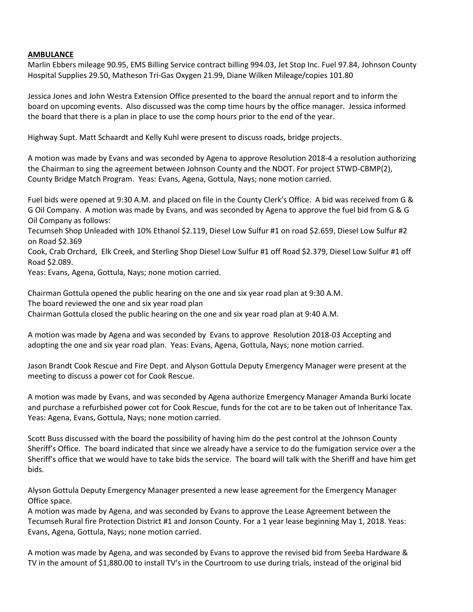## **AMBULANCE**

Marlin Ebbers mileage 90.95, EMS Billing Service contract billing 994.03, Jet Stop Inc. Fuel 97.84, Johnson County Hospital Supplies 29.50, Matheson Tri-Gas Oxygen 21.99, Diane Wilken Mileage/copies 101.80

Jessica Jones and John Westra Extension Office presented to the board the annual report and to inform the board on upcoming events. Also discussed was the comp time hours by the office manager. Jessica informed the board that there is a plan in place to use the comp hours prior to the end of the year.

Highway Supt. Matt Schaardt and Kelly Kuhl were present to discuss roads, bridge projects.

A motion was made by Evans and was seconded by Agena to approve Resolution 2018-4 a resolution authorizing the Chairman to sing the agreement between Johnson County and the NDOT. For project STWD-CBMP(2), County Bridge Match Program. Yeas: Evans, Agena, Gottula, Nays; none motion carried.

Fuel bids were opened at 9:30 A.M. and placed on file in the County Clerk's Office. A bid was received from G & G Oil Company. A motion was made by Evans, and was seconded by Agena to approve the fuel bid from G & G Oil Company as follows:

Tecumseh Shop Unleaded with 10% Ethanol \$2.119, Diesel Low Sulfur #1 on road \$2.659, Diesel Low Sulfur #2 on Road \$2.369

Cook, Crab Orchard, Elk Creek, and Sterling Shop Diesel Low Sulfur #1 off Road \$2.379, Diesel Low Sulfur #1 off Road \$2.089.

Yeas: Evans, Agena, Gottula, Nays; none motion carried.

Chairman Gottula opened the public hearing on the one and six year road plan at 9:30 A.M. The board reviewed the one and six year road plan Chairman Gottula closed the public hearing on the one and six year road plan at 9:40 A.M.

A motion was made by Agena and was seconded by Evans to approve Resolution 2018-03 Accepting and adopting the one and six year road plan. Yeas: Evans, Agena, Gottula, Nays; none motion carried.

Jason Brandt Cook Rescue and Fire Dept. and Alyson Gottula Deputy Emergency Manager were present at the meeting to discuss a power cot for Cook Rescue.

A motion was made by Evans, and was seconded by Agena authorize Emergency Manager Amanda Burki locate and purchase a refurbished power cot for Cook Rescue, funds for the cot are to be taken out of Inheritance Tax. Yeas: Agena, Evans, Gottula, Nays; none motion carried.

Scott Buss discussed with the board the possibility of having him do the pest control at the Johnson County Sheriff's Office. The board indicated that since we already have a service to do the fumigation service over a the Sheriff's office that we would have to take bids the service. The board will talk with the Sheriff and have him get bids.

Alyson Gottula Deputy Emergency Manager presented a new lease agreement for the Emergency Manager Office space.

A motion was made by Agena, and was seconded by Evans to approve the Lease Agreement between the Tecumseh Rural fire Protection District #1 and Jonson County. For a 1 year lease beginning May 1, 2018. Yeas: Evans, Agena, Gottula, Nays; none motion carried.

A motion was made by Agena, and was seconded by Evans to approve the revised bid from Seeba Hardware & TV in the amount of \$1,880.00 to install TV's in the Courtroom to use during trials, instead of the original bid